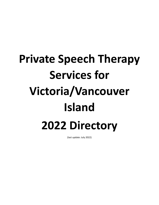## **Private Speech Therapy Services for Victoria/Vancouver Island 2022 Directory**

(last update: July 2022)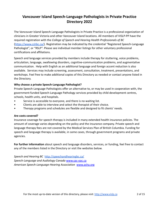## **Vancouver Island Speech-Language Pathologists in Private Practice Directory 2022**

The Vancouver Island Speech-Language Pathologists in Private Practice is a professional organization of clinicians in Greater Victoria and other Vancouver Island locations. All members of VISLP-PP have the required registration with the *College of Speech and Hearing Health Professionals of BC* (<https://www.cshbc.ca/>). Registration may be indicated by the credential "Registered Speech-Language Pathologist", or "RSLP". Please see individual member listings for other voluntary professional certifications and affiliations.

Speech and language services provided by members include therapy for stuttering, voice problems, articulation, language, swallowing disorders, cognitive-communication problems, and augmentative communication. Help with English as an additional language and foreign accent reduction is also available. Services may include screening, assessment, consultation, treatment, presentations, and workshops. Feel free to make additional copies of this Directory as needed or contact anyone listed in the Directory.

## **Why choose a private Speech-Language Pathologist?**

Private Speech-Language Pathologists offer an alternative to, or may be used in cooperation with, the government-funded Speech-Language Pathology services provided by child development centres, schools, health units, and hospitals.

- Service is accessible to everyone, and there is no waiting list.
- Clients are able to interview and select the therapist of their choice.
- Therapy programs and schedules are flexible and designed to fit clients' needs.

## **Are costs covered?**

Insurance coverage for speech therapy is included in many extended health insurance policies. The amount of coverage varies depending on the policy and the insurance company. Private speech and language therapy fees are not covered by the Medical Services Plan of British Columbia. Funding for speech and language therapy is available, in some cases, through government programs and private agencies.

**For further information** about speech and language disorders, services, or funding, feel free to contact any of the members listed in the Directory or visit the websites below.

*Speech and Hearing BC* <http://speechandhearingbc.ca/> *Speech-Language and Audiology Canada* [www.sac-oac.ca](http://www.sac-oac.ca) *American Speech-Language-Hearing Association* [www.asha.org](http://www.asha.org)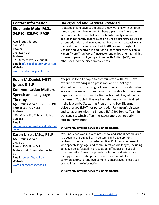| <b>Contact Information</b>                                                                                                                                                                                                                                                                                             | <b>Background and Services Provided</b>                                                                                                                                                                                                                                                                                                                                                                                                                                                                                                                                                                                                                                                               |
|------------------------------------------------------------------------------------------------------------------------------------------------------------------------------------------------------------------------------------------------------------------------------------------------------------------------|-------------------------------------------------------------------------------------------------------------------------------------------------------------------------------------------------------------------------------------------------------------------------------------------------------------------------------------------------------------------------------------------------------------------------------------------------------------------------------------------------------------------------------------------------------------------------------------------------------------------------------------------------------------------------------------------------------|
| <b>Stephanie Mohr, M.S.,</b><br>S-LP (C) RSLP-C, RASP<br><b>Age Groups Served:</b><br>$0-6, 6-19$<br><b>Phone:</b><br>778-522-4214<br><b>Address:</b><br>821 Burdett Ave, Victoria BC<br>Email: info.speakaboo@gmail.com<br><b>Website:</b><br>www.speakaboospeech.com                                                 | As a speech-language pathologist I enjoy working with children<br>throughout their development. I have a particular interest in<br>early intervention, and believe in a holistic family-centered<br>approach to therapy that focuses on a child's strengths as well as<br>parent education and involvement. I have worked extensively in<br>the field of Autism and consult with ABA teams throughout<br>Victoria and Vancouver. In addition to individual therapy I am a<br>Hanen "More Than Words" instructor and enjoy offering training<br>courses to parents of young children with Autism (ASD), and<br>other social communication challenges.                                                  |
| <b>Robin McDaniel, MSLT</b><br>(prac), R-SLP<br><b>Communication Matters</b><br><b>Speech and Language</b><br><b>Therapy</b><br>Age Groups Served: 0-6, 6-19, 19+<br>Phone: 250-710-4051<br><b>Address:</b><br>1060 Wilder Rd, Cobble Hill, BC,<br><b>VOR 1L4</b><br>Email:<br>communication.matters.slp@gmail<br>.com | My goal is for all people to communicate with joy. I have<br>experience working with preschool and school aged<br>students with a wide range of communication needs. I also<br>work with some adults and am currently able to offer some<br>in-person sessions from the timber framed "tiny office" on<br>my farm in Cobble Hill as well as teletherapy. I am trained<br>in the Lidcombe Stuttering Program and Lee-Silverman<br>Voice therapy (LSVT) for persons with Parkinson's disease,<br>and collaborate with the Bridges SLP & BC Service Team in<br>Duncan, BC, which offers the ESDM approach to early<br>autism intervention.<br>$\checkmark$ Currently offering services via telepractice. |
| Karen Ursel, MSc., RSLP<br><b>Age Groups Served:</b><br>$0-6, 6-19$<br>Phone: 250-891-4649<br>Address: 3497 Lovat Ave. Victoria<br><b>BC</b><br>Email: kcursel@gmail.com<br>Website:<br>www.cherrytreespeech.ca                                                                                                        | My experience working with pre-school and school-age children<br>has been in the public health system, child development<br>centres, schools and in private practice. Children who present<br>with speech, language, and communication challenges, including<br>language delay/disability, articulation difficulties and social<br>communication issues are provided with fun and interactive<br>therapy activities to help them reach their potential as<br>communicators. Parent involvement is encouraged. Please call<br>or email for more information.<br>$\checkmark$ Currently offering services via telepractice.                                                                             |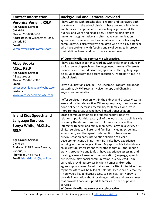| <b>Contact Information</b>                                                                                                                                                                                                                             | <b>Background and Services Provided</b>                                                                                                                                                                                                                                                                                                                                                                                                                                                                                                                                                                                                                                                                                                                                                                                                                                                                                                                                                                                                                                                                                                                                                                                                                                                                                                                |
|--------------------------------------------------------------------------------------------------------------------------------------------------------------------------------------------------------------------------------------------------------|--------------------------------------------------------------------------------------------------------------------------------------------------------------------------------------------------------------------------------------------------------------------------------------------------------------------------------------------------------------------------------------------------------------------------------------------------------------------------------------------------------------------------------------------------------------------------------------------------------------------------------------------------------------------------------------------------------------------------------------------------------------------------------------------------------------------------------------------------------------------------------------------------------------------------------------------------------------------------------------------------------------------------------------------------------------------------------------------------------------------------------------------------------------------------------------------------------------------------------------------------------------------------------------------------------------------------------------------------------|
| <b>Veronica Verigin, RSLP</b><br><b>Age Groups Served:</b><br>$0-6, 6-19$<br>Phone: 250-858-5602<br>Address: 1540 Winchester Road,<br>Victoria BC<br>Email:<br>veronicaveriginslp@gmail.com                                                            | I have worked with preschoolers, children and teenagers both<br>privately and in the school district. I have worked with clients<br>and families to improve articulation, language, social skills,<br>fluency, and word finding abilities. I enjoy helping families<br>implement augmentative and alternative communication<br>systems for those who need some extra assistance learning to<br>communicate. I also work with children who are picky eaters or<br>who have problems with feeding and swallowing to improve<br>their abilities to eat and participate at mealtimes.                                                                                                                                                                                                                                                                                                                                                                                                                                                                                                                                                                                                                                                                                                                                                                      |
|                                                                                                                                                                                                                                                        | $\checkmark$ Currently offering services via telepractice.                                                                                                                                                                                                                                                                                                                                                                                                                                                                                                                                                                                                                                                                                                                                                                                                                                                                                                                                                                                                                                                                                                                                                                                                                                                                                             |
| <b>Abby Brooks</b><br>MSc., RSLP<br><b>Age Groups Served:</b><br>All age groups<br>Phone: 250-891-3385                                                                                                                                                 | I have extensive experience working with children and adults in<br>a wide range of speech and language needs. Areas of interests<br>include: speech sound disorders, apraxia, stuttering, language<br>delay, voice therapy and accent reduction. I work part-time in a<br>school district.                                                                                                                                                                                                                                                                                                                                                                                                                                                                                                                                                                                                                                                                                                                                                                                                                                                                                                                                                                                                                                                             |
| Email:<br>voicespeechlanguage@yahoo.com<br><b>Website:</b><br>www.voicespeechlanguage.com                                                                                                                                                              | Extra qualifications include: The Lidcombe Program-childhood<br>stuttering, LMRVT-resonant voice therapy and Changing<br>Keys-voice feminization.                                                                                                                                                                                                                                                                                                                                                                                                                                                                                                                                                                                                                                                                                                                                                                                                                                                                                                                                                                                                                                                                                                                                                                                                      |
|                                                                                                                                                                                                                                                        | I offer services in-person within the Sidney and Greater Victoria<br>area and I offer telepractice. When appropriate, therapy can be<br>done online to increase accessibility for families who live in<br>more remote areas or who have limited transportation.                                                                                                                                                                                                                                                                                                                                                                                                                                                                                                                                                                                                                                                                                                                                                                                                                                                                                                                                                                                                                                                                                        |
| <b>Island Kids Speech and</b><br><b>Language Services</b><br>Sonya White, M.Cl.Sc,<br><b>RSLP</b><br><b>Age Groups Served:</b><br>$0-6; 6-19$<br>Address: 1118 Tolmie Avenue,<br>Victoria, BC<br>Phone: 250-464-4033<br>Email: islandkidsslp@gmail.com | Strong communication skills promote healthy, positive<br>relationships. For this reason, all of the work that I do clinically is<br>driven by the desire to support children's success as they<br>interact with peers and family members. I provide a variety of<br>clinical services to children and families, including screening,<br>assessment, and therapeutic intervention. I have worked<br>previously as an early intervention clinician at a child<br>development centre in northern BC. I also have experience<br>working with school-age children. My approach is to build on a<br>child's natural interests and strengths so that our therapeutic<br>work is productive and joyful. I have experience assessing and<br>treating across all areas of communication (language, speech,<br>pre-literacy, play, social communication, fluency, etc.). I am<br>currently providing services in client homes and/or other<br>agreed-upon spaces. Travel that exceeds a 10-minute drive from<br>my home office will be billed at half rate. Please call or email me<br>if you would like to discuss access to services. I am happy to<br>provide information about local organizations and programmes<br>that provide financial support to families in need of private<br>services.<br>$\checkmark$ Currently offering services via telepractice. |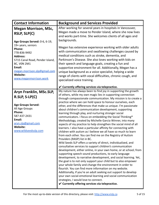| <b>Contact Information</b>                                                                                                                                                                               | <b>Background and Services Provided</b>                                                                                                                                                                                                                                                                                                                                                                                                                                                                                                                                                                                                                                                                                                                                                                                                                                                                                                                                                                                                                                                                                                                                                                                                                                                                                                                                                                                                                                                                                                                                                                                                            |
|----------------------------------------------------------------------------------------------------------------------------------------------------------------------------------------------------------|----------------------------------------------------------------------------------------------------------------------------------------------------------------------------------------------------------------------------------------------------------------------------------------------------------------------------------------------------------------------------------------------------------------------------------------------------------------------------------------------------------------------------------------------------------------------------------------------------------------------------------------------------------------------------------------------------------------------------------------------------------------------------------------------------------------------------------------------------------------------------------------------------------------------------------------------------------------------------------------------------------------------------------------------------------------------------------------------------------------------------------------------------------------------------------------------------------------------------------------------------------------------------------------------------------------------------------------------------------------------------------------------------------------------------------------------------------------------------------------------------------------------------------------------------------------------------------------------------------------------------------------------------|
| <b>Megan Morrison, MSc,</b><br>RSLP, SLP(C)<br>Age Groups Served: 0-6, 6-19,                                                                                                                             | After working for several years in hospitals in Vancouver,<br>Megan made a move to Pender Island, where she now lives<br>and works part-time. She welcomes clients of all ages and<br>backgrounds.                                                                                                                                                                                                                                                                                                                                                                                                                                                                                                                                                                                                                                                                                                                                                                                                                                                                                                                                                                                                                                                                                                                                                                                                                                                                                                                                                                                                                                                 |
| 19+ years, seniors<br>Phone:<br>778-836-9492<br><b>Address:</b><br>5715 Canal Road, Pender Island,<br>BC, VON 2M1<br>Email:<br>megan.morrison.slp@gmail.com<br><b>Website:</b><br>www.meganmorrison.work | Megan has extensive experience working with older adults<br>with communication and swallowing challenges caused by<br>medical conditions such as stroke, dementia, and<br>Parkinson's Disease. She also loves working with kids on<br>their speech and language goals, creating a fun and<br>supportive environment for all. Additionally, Megan has a<br>unique background as a voice specialist, helping a wide<br>range of clients with vocal difficulties, chronic cough, and<br>specialized voice training.                                                                                                                                                                                                                                                                                                                                                                                                                                                                                                                                                                                                                                                                                                                                                                                                                                                                                                                                                                                                                                                                                                                                   |
|                                                                                                                                                                                                          | $\checkmark$ Currently offering services via telepractice.                                                                                                                                                                                                                                                                                                                                                                                                                                                                                                                                                                                                                                                                                                                                                                                                                                                                                                                                                                                                                                                                                                                                                                                                                                                                                                                                                                                                                                                                                                                                                                                         |
| Aryn Franklin, MSc.SLP,<br>$R.SLP, S-LP(C)$<br><b>Age Groups Served:</b><br>All Age Groups<br>Phone:<br>587-437-2431<br>Email:<br>aryn.slp@gmail.com<br><b>Website:</b><br>www.wildseedsslp.com          | My nature has always been to find joy in supporting the growth<br>of others, while my own magic lies in supporting connection<br>through compassionate communication. My mission is to create a<br>practice where we can hold space to honour ourselves, each<br>other, and the differences that make us unique. I'm passionate<br>about children's communication development, supporting<br>learning through play, and nurturing stronger social<br>communicators. I focus on embedding the Social Thinking®<br>Methodology, created by Michelle Garcia Winner, into many<br>aspects of my practice to help strengthen the social mind of all<br>learners. I also have a particular affinity for connecting with<br>children with autism as I believe we all have so much to learn<br>from each other. You can find me on the Registry of Autism<br>Providers (RASP) list in BC.<br>Wild Seeds SLP offers a variety of direct, individualized, and<br>consultative services to support children's communication<br>development, either online, in your own home, or at school; from<br>supporting speech sound productions, to early language<br>development, to narrative development, and social learning. Yet,<br>the goal is to not only support your child but to also empower<br>your whole family and change the environment in order to<br>flourish. You can find more information on my website.<br>Additionally, if you're an adult seeking out support to develop<br>your own social-emotional learning and social communication<br>strategies, I would love to connect.<br>$\checkmark$ Currently offering services via telepractice. |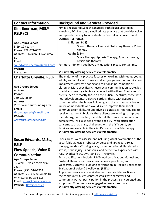| <b>Contact Information</b>                                                                                                                                                                                                                                                                            | <b>Background and Services Provided</b>                                                                                                                                                                                                                                                                                                                                                                                                                                                                                                                                                                                                                                                                                                                                                                                                                                                                                                                                                                                    |
|-------------------------------------------------------------------------------------------------------------------------------------------------------------------------------------------------------------------------------------------------------------------------------------------------------|----------------------------------------------------------------------------------------------------------------------------------------------------------------------------------------------------------------------------------------------------------------------------------------------------------------------------------------------------------------------------------------------------------------------------------------------------------------------------------------------------------------------------------------------------------------------------------------------------------------------------------------------------------------------------------------------------------------------------------------------------------------------------------------------------------------------------------------------------------------------------------------------------------------------------------------------------------------------------------------------------------------------------|
| <b>Kim Beerman, MSLP</b><br><b>RSLP (C)</b><br><b>Age Groups Served:</b><br>5-19, 19 years +<br>Phone: 778-971-6572<br>Address: 114 Kian Pl, Nanaimo,<br>BC<br>Email:<br>soundwavestherapy@gmail.com<br><b>Website:</b>                                                                               | Kim is a registered Speech Language Pathologist Located in<br>Nanaimo, BC. She runs a small private practice that provides voice<br>and speech therapy to individuals on Central Vancouver Island.<br><b>CURRENT SERVICES:</b><br>Children (5-18)<br>Speech therapy, Fluency/ Stuttering therapy, Voice<br>therapy<br>Adults (18+)<br>Voice Therapy, Aphasia Therapy, Apraxia therapy,<br>Dysarthria therapy<br>For more info, or if you have any questions please contact me.<br>$\checkmark$ Currently offering services via telepractice.                                                                                                                                                                                                                                                                                                                                                                                                                                                                               |
| In creation                                                                                                                                                                                                                                                                                           | The majority of my practice focuses on working with teens, young                                                                                                                                                                                                                                                                                                                                                                                                                                                                                                                                                                                                                                                                                                                                                                                                                                                                                                                                                           |
| <b>Charlotte Greville, RSLP</b><br><b>Age Groups Served:</b><br>All Ages<br>Phone:<br>780-937-8849<br><b>Address:</b><br>Victoria and surrounding area<br>Email:<br>throughspeech@gmail.com<br><b>Website:</b><br>www.throughspeech.com                                                               | adults, and adults who have social and/or general communication<br>impairments navigate dating and relationships (romantic or<br>platonic). More specifically, I use social communication strategies<br>to address how my clients can connect with others. The types of<br>clients I see are mostly those on the Autism spectrum, those with<br>neurodevelopmental delays/disorders, those with acquired<br>communication challenges following a stroke or traumatic brain<br>injury, or individuals who would like to improve their social<br>communication skills. An underlying diagnosis is not required to<br>receive treatment. Typically these clients are looking to improve<br>their dating/partnership/friendship skills from a communication<br>perspective. I will also see anyone aged 19+ with articulation<br>concerns such as a lisp, challenges with the "r" sound, etc.<br>Services are available in the client's home or via Teletherapy.<br>$\checkmark$ Currently offering services via telepractice. |
| Susan Edwards, M.Sc.,<br><b>RSLP</b><br>Flow Speech, Voice &<br><b>Communication</b><br><b>Age Groups Served:</b><br>19 years + (voice therapy all<br>ages)<br>Phone: (250) 516-1964<br>Address: 2574 MacDonald Dr.<br>W. Victoria BC V8N 1X8<br>Email: susan@flowspeech.ca<br>Website: flowspeech.ca | Focus areas: voice assessment including visual examination of the<br>vocal folds via rigid stroboscopy, voice and laryngeal airway<br>therapy, gender-affirming voice, communication skills related to<br>stroke, brain injury, Parkinson's, and dementia. Experience with<br>ICBC, WorkSafe BC, CVAP, and BCTF referrals.<br>Extra qualifications include: LSVT-Loud certification, Manual and<br>Postural Therapy for muscle misuse voice problems, and<br>Voicecraft. Currently pursuing certification in Flexible Endoscopic<br>Evaluation of Voice & Swallowing (FEEVS).<br>At present, services are available in-office, via telepractice or in<br>the community. Client-centered goals with caregiver and<br>community worker participation in the process is encouraged and<br>supported. Volunteers are engaged where appropriate.<br>$\checkmark$ Currently offering services via telepractice.                                                                                                                  |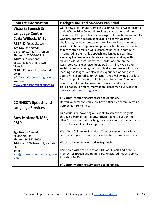| <b>Contact Information</b>                                                                                                                                                                                                                                                                                                                                                                    | <b>Background and Services Provided</b>                                                                                                                                                                                                                                                                                                                                                                                                                                                                                                                                                                                                                                                                                                                                                                                                                                                                                                                                                                                                                                                                                                                                                               |
|-----------------------------------------------------------------------------------------------------------------------------------------------------------------------------------------------------------------------------------------------------------------------------------------------------------------------------------------------------------------------------------------------|-------------------------------------------------------------------------------------------------------------------------------------------------------------------------------------------------------------------------------------------------------------------------------------------------------------------------------------------------------------------------------------------------------------------------------------------------------------------------------------------------------------------------------------------------------------------------------------------------------------------------------------------------------------------------------------------------------------------------------------------------------------------------------------------------------------------------------------------------------------------------------------------------------------------------------------------------------------------------------------------------------------------------------------------------------------------------------------------------------------------------------------------------------------------------------------------------------|
| Victoria Speech &<br><b>Language Centre</b><br>Carla Willock, M.Sc.,<br><b>RSLP &amp; Associates</b><br><b>Age Groups Served:</b><br>0-6, 6-19, 19 years +, seniors<br>Phone: 1-250-590-7841<br><b>Address: 2 locations:</b><br>1) 220-4243 Glanford Ave,<br>Victoria<br>2) 106-310 Wale Rd, Colwood<br>Email:<br>info@victoriaspeechlanguage.ca<br>Website:<br>www.victoriaspeechlanguage.ca | Our 2 new bright multi-room centres on Glanford Ave in Victoria<br>and on Wale Rd in Colwood provides a stimulating and fun<br>environment for preschool, school-age children, teens and adults<br>who present with speech, language, and communication<br>challenges, including stuttering. We also provide community<br>sessions in home, daycares and private schools. We believe in<br>family-centred practice while coaching parents to continue<br>incorporating their child's speech and language goals into<br>everyday life. We have extensive experience working with<br>children with Autism Spectrum Disorder and are on the<br>Registered Autism Service Providers (RASP) list. We also run<br>social communication groups for children and teens with social<br>learning challenges. We also have experience working with<br>adults with acquired communication and swallowing disorders.<br>Saturday appointments available. We offer a free 15 minute<br>phone consultation to discuss our services and your or your<br>child's needs. For more information, please visit our website:<br>www.victoriaspeechlanguage.ca<br>$\checkmark$ Currently offering services via telepractice. |
| <b>CONNECT: Speech and</b><br><b>Language Services</b><br>Amy Makaroff, MSc,<br><b>RSLP</b><br><b>Age Groups Served:</b><br>All age groups<br>Phone: 250-882-6994<br>Address: 1006 Russell St, Victoria,<br>BC<br>Email:<br>amy@connectspeechandlanguage<br>.com                                                                                                                              | Do you or someone you know have difficulties communicating?<br>Connect is here to help.<br>Our focus is empowering our clients to achieve their goals<br>through personalized therapy. Programming is built on the<br>client's strengths and coaching the client's support networks to<br>ensure the client is fully supported.<br>We offer a full range of services. Therapy sessions are client<br>centred and goal driven to achieve the best possible outcome.<br>We are conveniently located in Esquimalt.<br>Registered with the College of SHHP of BC, certified by SAC,<br>member of Speech and Hearing BC, Registered Autism Service<br>Provider (RASP).<br>$\checkmark$ Currently offering services via telepractice.                                                                                                                                                                                                                                                                                                                                                                                                                                                                       |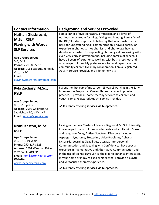| <b>Contact Information</b>                                                                                                                                                                                                                                | <b>Background and Services Provided</b>                                                                                                                                                                                                                                                                                                                                                                                                                                                                                                                                                                                                                                                                                     |
|-----------------------------------------------------------------------------------------------------------------------------------------------------------------------------------------------------------------------------------------------------------|-----------------------------------------------------------------------------------------------------------------------------------------------------------------------------------------------------------------------------------------------------------------------------------------------------------------------------------------------------------------------------------------------------------------------------------------------------------------------------------------------------------------------------------------------------------------------------------------------------------------------------------------------------------------------------------------------------------------------------|
| <b>Nathan Giesbrecht,</b><br>M.Sc., RSLP<br><b>Playing with Words</b><br><b>SLP Services</b><br><b>Age Groups Served:</b><br>$0-6, 6-19$<br>Phone: 250-580-5511<br>Address: 1061 Laburnum Road,<br>Victoria BC<br>Email:<br>playingwithwordsslp@gmail.com | I am a father of five teenagers, a musician, and a lover of<br>outdoors, mushroom foraging, fishing and hunting. I am a fan of<br>the DIR/Floortime approach, believing that relationship is the<br>basis for understanding all communication. I have a particular<br>expertise in phonetics (not phonics) and phonology, having<br>developed a system for supporting phonological processing skills<br>even very early in development, including apraxia of speech. I<br>have 14 years of experience working with both preschool and<br>school-age children. My preference is to build capacity in the<br>community children live in by collaboration. I am a Registered<br>Autism Service Provider, and I do home visits. |
| Kyla Zachary, M.Sc.,<br><b>RSLP</b><br><b>Age Groups Served:</b><br>0-6, 6-19 years<br>Address: 7992 Galbraith Cr.<br>Saanichton BC, V8M 1K7<br>Email: kydzslp@gmail.com                                                                                  | I spent the first part of my career (13 years) working in the Early<br>Intervention Program at Queen Alexandra. Now in private<br>practice, I provide in-home therapy services to children and<br>youth. I am a Registered Autism Service Provider.<br>$\checkmark$ Currently offering services via telepractice.                                                                                                                                                                                                                                                                                                                                                                                                           |
| Nomi Kaston, M.Sc.,<br><b>RSLP</b><br><b>Age Groups Served:</b><br>0-6, 6-19, 19 years +<br>Phone: 250-217-8123<br>Address: 1901 Wenman Drive,<br>Victoria BC V8N 2P9<br>Email: nomikaston@gmail.com<br>Website:<br>www.speechvictoria.com                | Having earned my Master of Science Degree at McGill University,<br>I have helped many children, adolescents and adults with Speech<br>and Language Delay, Autism Spectrum Disorders including<br>Aspergers Syndrome, Stuttering, Voice Problems, Aphasia,<br>Dyspraxia, Learning Disabilities, Literacy, Interpersonal<br>Communication and Speaking with Confidence. I have special<br>expertise in Augmentative and Alternative Communication and<br>in the use of technology such as the iPad to enhance interaction.<br>In your home or in my relaxed clinic setting, I provide a playful<br>and yet focused therapy experience.<br>$\checkmark$ Currently offering services via telepractice.                          |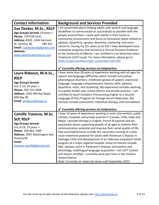| <b>Contact Information</b>                                                                                                                                                                                                              | <b>Background and Services Provided</b>                                                                                                                                                                                                                                                                                                                                                                                                                                                                                                                                                                                                                                                                                                                                                                                                                                                                               |
|-----------------------------------------------------------------------------------------------------------------------------------------------------------------------------------------------------------------------------------------|-----------------------------------------------------------------------------------------------------------------------------------------------------------------------------------------------------------------------------------------------------------------------------------------------------------------------------------------------------------------------------------------------------------------------------------------------------------------------------------------------------------------------------------------------------------------------------------------------------------------------------------------------------------------------------------------------------------------------------------------------------------------------------------------------------------------------------------------------------------------------------------------------------------------------|
| Sue Decker, M.Sc., RSLP<br>Age Groups Served: 19 years +<br>Phone: 778-678-3141<br>Address: #202, 1436 Harrison<br>St. Victoria, BC<br><b>V8S 3S2</b><br>Email: suedeckerslp@gmail.com<br><b>Website:</b><br>www.speechcarevictoria.com | I am passionate about helping adults with speech and language<br>disabilities to communicate as successfully as possible with the<br>people around them. I work with clients in their home or<br>community environment and focus on functional needs related to<br>aphasia, dysarthria, apraxia, dementia, stuttering, and voice<br>concerns. During my 25+ years as an SLP, I have developed many<br>innovative programs and served as a Clinical Assistant Professor<br>at the University of Alberta. I am certified in Lee Silverman Voice<br>Treatment (LSVT-Loud). For more information, please go to:<br>https://speechandhearingbc.ca/private/?uid=430                                                                                                                                                                                                                                                         |
|                                                                                                                                                                                                                                         | $\checkmark$ Currently offering services via telepractice.<br>I have more than 28 years of experience working with all ages for                                                                                                                                                                                                                                                                                                                                                                                                                                                                                                                                                                                                                                                                                                                                                                                       |
| Laura Rideout, M.H.Sc.,<br><b>RSLP</b><br><b>Age Groups Served:</b><br>0-6, 6-19, 19 years +<br>Phone: 250-743-3948<br>Address: 2502 Mill Bay Road,<br>Mill Bay, BC<br>Email: alrideout@shaw.ca                                         | speech and language difficulties which include articulation,<br>phonological disorders, childhood apraxia of speech, expressive<br>language, language comprehension, literacy skills, aphasia,<br>dysarthria, voice, and stuttering. My experience includes working<br>in a public health unit, school district and private practice. I am<br>certified to teach Compton Pronouncing English as a Second<br>Language (P-ESL) Program for Foreign Accent Reduction. My<br>services include assessment, individual therapy, and consultation.                                                                                                                                                                                                                                                                                                                                                                           |
|                                                                                                                                                                                                                                         | $\checkmark$ Currently offering services via telepractice.                                                                                                                                                                                                                                                                                                                                                                                                                                                                                                                                                                                                                                                                                                                                                                                                                                                            |
| <b>Camille Traverse, M.Sc.</b><br><b>SLP, RSLP</b><br><b>Age Groups Served:</b><br>0-6, 6-19, 19 years +<br>Phone: 250-661-7189<br>Address: 3047 Washington Ave,<br>Victoria BC<br>Email:<br>traverse.camille@gmail.com                 | I have 10 years of experience working in early intervention, public<br>schools, hospitals and private practice in Canada, Chile, India and<br>Nepal. I provide therapy in English, French & Spanish and am<br>passionate about supporting people of all ages to achieve their<br>communication potential and improve their social quality of life.<br>Past accomplishments include the successful running of a pilot<br>voice treatment protocol for adults with Parkinson's disease in<br>Santiago, Chile and development of an intensive outpatient rehab<br>program at a major regional hospital. Areas of interest include:<br>AAC, apraxia, voice in Parkinson's Disease, articulation and<br>phonology, multilingual language acquisition. I am LSVT trained<br>and Hanen certified. I currently work part time in the Victoria<br>School District.<br>Note: Currently on maternity leave until September 2022. |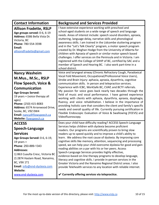| <b>Contact Information</b>                                                                                                                                                                                                                                                                                       | <b>Background and Services Provided</b>                                                                                                                                                                                                                                                                                                                                                                                                                                                                                                                                                                                                                                                                                                                                                                                                                                                                                                        |
|------------------------------------------------------------------------------------------------------------------------------------------------------------------------------------------------------------------------------------------------------------------------------------------------------------------|------------------------------------------------------------------------------------------------------------------------------------------------------------------------------------------------------------------------------------------------------------------------------------------------------------------------------------------------------------------------------------------------------------------------------------------------------------------------------------------------------------------------------------------------------------------------------------------------------------------------------------------------------------------------------------------------------------------------------------------------------------------------------------------------------------------------------------------------------------------------------------------------------------------------------------------------|
| <b>Allison Fradette, RSLP</b><br>Age groups served: 0-6, 6-19<br>Address: 6586 Bella Vista Dr.<br>Victoria, BC<br>Phone: 780-554-3598<br>Email:<br>allisondfradette@gmail.com                                                                                                                                    | I have extensive experience working with preschool and<br>school-aged students on a wide range of speech and language<br>needs. Areas of interest include: speech sound disorders, apraxia,<br>stuttering, language delay, narrative skills and phonological<br>awareness skills. I am trained in the Lidcombe stuttering program<br>and in the "Let's Talk Clearly" program, a motor speech program<br>created by Dr. Meghan Hodge from the University of Alberta for<br>children with Apraxia of speech or similar motor speech based<br>challenges. I offer services on the Peninsula and in Victoria. I am<br>registered with the College of SHHP of BC, certified by SAC and a<br>member of Speech and Hearing BC. I also work part-time in a<br>school district.                                                                                                                                                                         |
| <b>Nancy Washeim</b><br>M.Mus., M.Sc., RSLP<br>Flow Speech, Voice &<br><b>Communication</b><br><b>Age Groups Served:</b><br>19 years + (voice therapy all<br>ages)<br>Phone: (250) 415-8083<br>Address: 6574 Arranwood Drive,<br>Sooke, BC, V9Z 0W4<br>Email: nancy@flowspeech.ca<br>Website: flowspeech.ca      | Voice and laryngeal airway (Chronic Refractory Cough, Paradoxical<br>Vocal Fold Movement, Occupational/Professional Voice Users),<br>Stroke and Brain Injury: aphasia, apraxia, dysarthria, cognitive<br>communication skills. In person and telepractice services.<br>Experience with ICBC, WorkSafe BC, CVAP, and BCTF referrals.<br>My passion for voice goes back nearly two decades through the<br>field of music and vocal performance. I have gained experience<br>working with clients with aphasia, dysarthria, apraxia, dysphagia,<br>fluency, and voice rehabilitation. I believe in the importance of<br>providing holistic care that considers the client and family's specific<br>needs and overall quality of life. Currently pursuing certification in<br>Flexible Endoscopic Evaluation of Voice & Swallowing (FEEVS) and<br>Videofluoroscopy.                                                                                |
| <b>ACCESS</b><br>Speech-Language<br><b>Services</b><br>Age Groups Served: 0-6, 6-19,<br>19 years $+$<br>Phone: 250-889-1343<br><b>Addresses:</b><br>1) 863 Cuaulta Cresc, Victoria BC<br>2) 2874 Haslam Road, Nanaimo,<br><b>BC, V9X 1T1</b><br>Email: info@end-dyslexia.com<br>Website:<br>www.end-dyslexia.com | Does your child have difficulty reading? ACCESS Speech-Language<br>Services helps children with dyslexia become proficient<br>readers. Our programs are scientifically proven to bring slow<br>readers up to speed quickly and to improve a child's ability to<br>learn. We address the root cause of dyslexia. By improving core<br>cognitive skills like memory, attention, sequencing and processing<br>speed, we can help your child overcome dyslexia for good and gain<br>reading abilities on a par with his or her peers. Access<br>Speech-Language Services provides highly effective,<br>evidence-based on-line therapy programs to develop language,<br>literacy and cognitive skills. I provide in-person services in the<br>Greater Victoria and the Nanaimo Regional District areas. I also<br>provide Telehealth services to any location with reliable internet.<br>$\checkmark$ Currently offering services via telepractice. |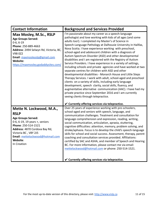| <b>Contact Information</b>                                                                                                                                                                                                                            | <b>Background and Services Provided</b>                                                                                                                                                                                                                                                                                                                                                                                                                                                                                                                                                                                                                                                                                                                                                                                                                                                                                                                                                                                                                                                                                                                                     |
|-------------------------------------------------------------------------------------------------------------------------------------------------------------------------------------------------------------------------------------------------------|-----------------------------------------------------------------------------------------------------------------------------------------------------------------------------------------------------------------------------------------------------------------------------------------------------------------------------------------------------------------------------------------------------------------------------------------------------------------------------------------------------------------------------------------------------------------------------------------------------------------------------------------------------------------------------------------------------------------------------------------------------------------------------------------------------------------------------------------------------------------------------------------------------------------------------------------------------------------------------------------------------------------------------------------------------------------------------------------------------------------------------------------------------------------------------|
| Max Mosley, M.Sc., RSLP<br><b>Age Groups Served:</b><br>$0-6, 6-19$<br>Phone: 250-889-4663<br>Address: 2494 Selwyn Rd, Victoria, BC,<br><b>V9B 0Z2</b><br>Email: maxmosleyslp@gmail.com<br>Website:<br>https://maxmosley.godaddysites.com/            | I'm passionate about my career as a speech-language<br>pathologist and love working with kids of all ages (and some<br>adults too!). I completed my Master's of Science in<br>Speech-Language Pathology at Dalhousie University in Halifax,<br>Nova Scotia. I have experience working with preschool,<br>school-aged and adolescent children with a diagnosis of<br>Autism Spectrum Disorder (ASD) and other developmental<br>disabilities and I am registered with the Registry of Autism<br>Service Providers. I have experience in a variety of settings,<br>including schools and private agencies and have worked at two<br>separate centres for children with ASD and other<br>developmental disabilities - Monarch House and Little Steps<br>Therapy Services. I work with adult, school-aged and preschool<br>clients on a variety of skills, including early language<br>development, speech clarity, social skills, fluency, and<br>augmentative alternative communication (AAC). I have had my<br>private practice since September 2016 and I am currently<br>seeing clients through telepractice.<br>$\checkmark$ Currently offering services via telepractice. |
| Mette N. Lockwood, M.A.,<br><b>RSLP</b><br><b>Age Groups Served:</b><br>0-6, 6-19, 19 years +, seniors<br>Phone: 250-514-1521<br>Address: 4870 Cordova Bay Rd,<br>Victoria BC, V8Y 2J5<br>Email: mettelockwood@hotmail.com<br>Website:<br>In Creation | Over 25 years of experience working with pre-schoolers,<br>school-aged and seniors with speech, language, and<br>communication challenges. Treatment and consultation for<br>language comprehension and expression, reading, writing,<br>social communication, articulation, apraxia, stuttering,<br>cognitive difficulties: attention, memory, problem solving, and<br>stroke/aphasia. Focus is to develop the child's speech-language<br>skills for school and social success. Assessment, therapy, parent<br>coaching and consultation services provided. Affiliations:<br>certified by SAC and ASHA, and member of Speech and Hearing<br>BC. For more information, please contact me via email:<br>mettelockwood@hotmail.com or phone: 250-514-1521.<br>$\checkmark$ Currently offering services via telepractice.                                                                                                                                                                                                                                                                                                                                                      |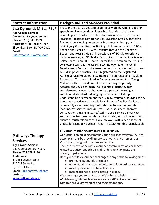| <b>Contact Information</b>                                                                                                                                                                                                                                                          | <b>Background and Services Provided</b>                                                                                                                                                                                                                                                                                                                                                                                                                                                                                                                                                                                                                                                                                                                                                                                                                                                                                                                                                                                                                                                                                                                                                                                                                                                                                                                                                                                                                                                                                                                                                                                                                                                                                                                                                                                                            |
|-------------------------------------------------------------------------------------------------------------------------------------------------------------------------------------------------------------------------------------------------------------------------------------|----------------------------------------------------------------------------------------------------------------------------------------------------------------------------------------------------------------------------------------------------------------------------------------------------------------------------------------------------------------------------------------------------------------------------------------------------------------------------------------------------------------------------------------------------------------------------------------------------------------------------------------------------------------------------------------------------------------------------------------------------------------------------------------------------------------------------------------------------------------------------------------------------------------------------------------------------------------------------------------------------------------------------------------------------------------------------------------------------------------------------------------------------------------------------------------------------------------------------------------------------------------------------------------------------------------------------------------------------------------------------------------------------------------------------------------------------------------------------------------------------------------------------------------------------------------------------------------------------------------------------------------------------------------------------------------------------------------------------------------------------------------------------------------------------------------------------------------------------|
| Lisa Dymond, M.Sc., RSLP<br><b>Age Groups Served:</b><br>0-6, 6-19, 19+ years, seniors<br>Phone: (250) 686-3529<br>Address: 2440 Galland Road,<br>Shawnigan Lake, BC VOR 2W2<br>Email:<br>LisaDymondSLP@gmail.com                                                                   | I have more than 20 years of experience working with all ages for<br>speech and language difficulties which include articulation,<br>phonological disorders, childhood apraxia of speech, expressive<br>language, language comprehension, dysarthria, voice, stuttering,<br>feeding & swallowing assessment & diagnostic therapy, aphasia,<br>brain injury & executive functioning. I hold membership in SAC &<br>Speech and Hearing BC, with licensure through the College of<br>Speech and Hearing Health Professionals of BC. My experience<br>includes working At BC Children's Hospital on the craniofacial/cleft<br>palate team, Sunny Hill Health Center for Children on the feeding &<br>swallowing team, & the assistive technology team, the Child<br>Development Centre in the Yukon, school districts in the Yukon and<br>B.C., & in private practice. I am registered on the Registered<br>Autism Service Providers list & trained in Reference and Regulate<br>for Autism ™. I have trained in Dynamic Assessment for Young<br>Children with Dr. David Tzuriel & the Learning Propensity<br>Assessment Device through the Feuerstein Institute, both<br>complementary ways to characterize a person's learning and<br>supplement standardized language assessment. A deep<br>understanding of attachment theory, play, trauma & neuroplasticity<br>inform my practice and my relationships with families & clients. I<br>often apply visual coaching methods to enhance multi-modal<br>learning. My services include screening, assessment, therapy,<br>consultation & training teams/staff in tier 1 service delivery, to<br>support the Response to Intervention model, and online work with<br>clients through telepractice. I love my work with a deep sense of<br>gratitude. Facebook Business Page: @LisaDymondSLP.VisualCoach |
|                                                                                                                                                                                                                                                                                     | $\checkmark$ Currently offering services via telepractice.                                                                                                                                                                                                                                                                                                                                                                                                                                                                                                                                                                                                                                                                                                                                                                                                                                                                                                                                                                                                                                                                                                                                                                                                                                                                                                                                                                                                                                                                                                                                                                                                                                                                                                                                                                                         |
| <b>Pathways Therapy</b><br><b>Services</b><br><b>Age Groups Served:</b><br>0-6, 6-19 years, 19+ years<br>Phone: 778 679-2170<br><b>Addresses:</b><br>1) 2681 Leggett Lane<br>2) 2612 Sooke Rd<br>3) 1038 Hillside Rd<br>Email: slp@pathwaysts.com<br>Website:<br>www.pathwaysts.com | Our focus is on building communication skills for everyday life. We<br>accomplish this by providing service at our client's homes, our<br>Victoria and Langford locations and online.<br>The children we work with experience communication challenges<br>related to autism, speech delay disorders, and language and<br>literacy impairments.<br>Does your child experience challenges in any of the following areas:<br>pronouncing sounds or speech<br>understanding and communicating with words or sentences<br>meeting developmental milestones<br>making friends or participating in groups<br>We encourage you to contact us. We're here to help!<br>✔ Delivering telepractice services since 2015. Ask about our<br>comprehensive assessment and therapy options.                                                                                                                                                                                                                                                                                                                                                                                                                                                                                                                                                                                                                                                                                                                                                                                                                                                                                                                                                                                                                                                                         |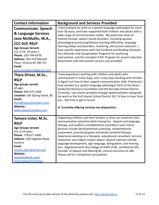| <b>Contact Information</b>                                                                                                                                                                                                                                                      | <b>Background and Services Provided</b>                                                                                                                                                                                                                                                                                                                                                                                                                                                                                                                                                                                                                                                                                       |
|---------------------------------------------------------------------------------------------------------------------------------------------------------------------------------------------------------------------------------------------------------------------------------|-------------------------------------------------------------------------------------------------------------------------------------------------------------------------------------------------------------------------------------------------------------------------------------------------------------------------------------------------------------------------------------------------------------------------------------------------------------------------------------------------------------------------------------------------------------------------------------------------------------------------------------------------------------------------------------------------------------------------------|
| <b>Communicate: Speech</b><br>& Language Services<br>Jane McMullin, M.A.,<br><b>CCC-SLP, RSLP</b><br><b>Age Groups Served:</b><br>3-6, 6-19, 19 years +<br>Phone: 250-744-6379<br>Address: 202-510 Marsett<br>Place, Victoria BC V8Z 7J1<br>Email:<br>jane.mcmullin24@gmail.com | I have enjoyed my work as a speech-language pathologist for more<br>than 30 years, and have supported both children and adults with a<br>wide range of communication needs. My particular areas of<br>interest include: speech sound disorders, including apraxia;<br>phonological processing/literacy learning difficulties, language<br>learning delays and disorders, stuttering, and accent reduction. I<br>have specific experience with Fast ForWord and Reading Assistant,<br>the Lidcombe and Camperdown Programs for stuttering<br>intervention, and the Compton P-ESL Program for accent reduction.<br>Assessment and intervention services are provided.                                                           |
| Thyra Driver, M.Sc.,<br><b>RSLP</b><br>Age groups served:<br>all ages<br>Phone: 604-679-1604<br>Location: Salt Spring Island, BC<br>Email:<br>thyra@speechcombers.com<br>Website:<br>www.speechcombers.com                                                                      | I have experience working with children and adults who<br>communicate in many ways, and I truly enjoy working with families<br>to figure out how to best support communication skills. Previously, I<br>have worked as a speech-language pathologist (SLP) at the Down<br>Syndrome Resource Foundation and the Burnaby School District.<br>Currently, I see clients privately through Speechcombers alongside<br>my work as the Gulf Islands School District SLP. I'd love to hear from<br>you - feel free to get in touch!<br>$\checkmark$ Currently offering services via telepractice.                                                                                                                                     |
| Tamara Lister, M.Sc.<br><b>RSLP</b><br><b>Age Groups Served:</b><br>0-6, 6-19 years<br>Phone: 778.677.4400<br>Address: 100 Saghalie Road,<br>Victoria<br>Email:<br>tamara.lister@gmail.com<br>Website:<br>www.facebook.com/<br>VictoriaSpeechTherapy                            | Supporting children and their families so they can maximize their<br>communication potential while having fun. Speech and language<br>therapy, and auditory (re)habilitation provided in your home.<br>Services include developmental screening, comprehensive<br>assessment, prioritizing goals and family centered therapy.<br>Experience working as a therapist, educational consultant, lecturer,<br>researcher and subject-matter expert. Special interests include<br>language development, sign language, bilingualism, and hearing<br>loss. Registered with the College of SHHP of BC, certified by SAC,<br>member of Speech and Hearing BC, clinical instructor at UBC.<br>Please call for a telephone consultation. |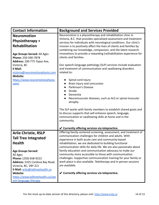| <b>Contact Information</b>                                                                                                                                                                                                                   | <b>Background and Services Provided</b>                                                                                                                                                                                                                                                                                                                                                                                                                                                                                                                                                       |
|----------------------------------------------------------------------------------------------------------------------------------------------------------------------------------------------------------------------------------------------|-----------------------------------------------------------------------------------------------------------------------------------------------------------------------------------------------------------------------------------------------------------------------------------------------------------------------------------------------------------------------------------------------------------------------------------------------------------------------------------------------------------------------------------------------------------------------------------------------|
| <b>Neuromotion</b><br><b>Physiotherapy +</b><br><b>Rehabilitation</b><br>Age Groups Served: All Ages<br>Phone: 250-590-7878<br>Address: 100-775 Topaz Ave,<br>Victoria, BC<br>E-Mail:<br>victoria@neuromotionphysio.com                      | Neuromotion is a physiotherapy and rehabilitation clinic in<br>Victoria, B.C. that provides specialized assessment and treatment<br>services for individuals with neurological conditions. Our clinic's<br>mission is to positively affect the lives of clients and families by<br>combining our knowledge, compassion, and the latest research<br>innovations to provide a rewarding (re)habilitation experience for<br>clients and families.<br>Our speech-language pathology (SLP) services include evaluation<br>and treatment of communication and swallowing disorders<br>related to:   |
| Website:<br>https://www.neuromotionphysio.<br>com/                                                                                                                                                                                           | Spinal cord injury<br>Brain injury and concussion<br>Parkinson's Disease<br>Stroke<br>Dementia<br>Neuromuscular diseases, such as ALS or spinal muscular<br>atrophy<br>The SLP works with family members to establish shared goals and<br>to discuss supports that will enhance speech, language,<br>communication or swallowing skills at home and in the<br>community.                                                                                                                                                                                                                      |
|                                                                                                                                                                                                                                              | $\checkmark$ Currently offering services via telepractice.                                                                                                                                                                                                                                                                                                                                                                                                                                                                                                                                    |
| <b>Arlie Christie, RSLP</b><br><b>Tall Tree Integrated</b><br><b>Health</b><br><b>Age Groups Served:</b><br>All Ages<br>Phone: (250) 658-9222<br>Address: 5325 Cordova Bay Road,<br>Victoria, BC, V8Y 2L3<br>E-Mail: arlie@talltreehealth.ca | Offering family-centered screening, assessment, and treatment of<br>communication challenges for children and adults. With<br>experience in both acute care and community-based<br>rehabilitation, we are dedicated to building functional<br>communication skills for daily life. We are also passionate about<br>family education and communication advocacy to make our<br>community more accessible to those with communication<br>challenges. Supportive communication training for your family or<br>work place is also available. Teletherapy and in-person sessions<br>are available. |
| <b>Website:</b><br>https://www.talltreehealth.ca/spe<br>ech-language-therapy                                                                                                                                                                 | $\checkmark$ Currently offering services via telepractice.                                                                                                                                                                                                                                                                                                                                                                                                                                                                                                                                    |